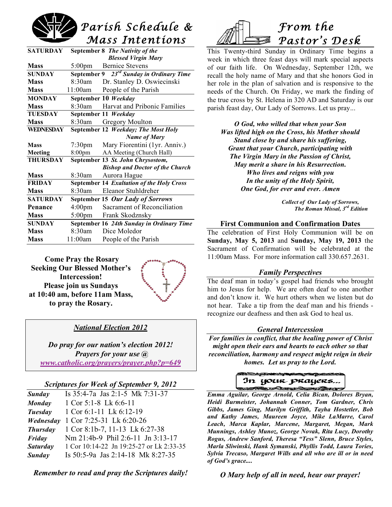

| <b>SATURDAY</b> |                                     | September 8 The Nativity of the                      |
|-----------------|-------------------------------------|------------------------------------------------------|
|                 |                                     | <b>Blessed Virgin Mary</b>                           |
| <b>Mass</b>     | $5:00 \text{pm}$                    | <b>Bernice Stevens</b>                               |
| <b>SUNDAY</b>   |                                     | September 9 23 <sup>rd</sup> Sunday in Ordinary Time |
| <b>Mass</b>     | 8:30am                              | Dr. Stanley D. Oswiecinski                           |
| <b>Mass</b>     | 11:00am                             | People of the Parish                                 |
| <b>MONDAY</b>   | September 10 Weekday                |                                                      |
| <b>Mass</b>     | 8:30am                              | Harvat and Pribonic Families                         |
| <b>TUESDAY</b>  | September 11 Weekday                |                                                      |
| <b>Mass</b>     | 8:30am                              | <b>Gregory Moulton</b>                               |
| WEDNESDAY       | September 12 Weekday; The Most Holy |                                                      |
|                 |                                     | <b>Name of Mary</b>                                  |
| <b>Mass</b>     | $7:30 \text{pm}$                    | Mary Fiorentini (1yr. Anniv.)                        |
| <b>Meeting</b>  | 8:00 <sub>pm</sub>                  | AA Meeting (Church Hall)                             |
| <b>THURSDAY</b> | September 13 St. John Chrysostom,   |                                                      |
|                 |                                     | <b>Bishop and Doctor of the Church</b>               |
| <b>Mass</b>     | 8:30am                              | Aurora Hague                                         |
| <b>FRIDAY</b>   |                                     | September 14 Exaltation of the Holy Cross            |
| <b>Mass</b>     | 8:30am                              | Eleanor Stuhldreher                                  |
| <b>SATURDAY</b> |                                     | September 15 Our Lady of Sorrows                     |
| Penance         | 4:00 <sub>pm</sub>                  | Sacrament of Reconciliation                          |
| <b>Mass</b>     | $5:00 \text{pm}$                    | Frank Skodznsky                                      |
| <b>SUNDAY</b>   |                                     | September 16 24th Sunday in Ordinary Time            |
| <b>Mass</b>     | 8:30am                              | Dice Moledor                                         |
| <b>Mass</b>     | 11:00am                             | People of the Parish                                 |

**Come Pray the Rosary Seeking Our Blessed Mother's Intercession! Please join us Sundays at 10:40 am, before 11am Mass, to pray the Rosary.**



# *National Election 2012*

*Do pray for our nation's election 2012! Prayers for your use @ www.catholic.org/prayers/prayer.php?p=649*

#### *Scriptures for Week of September 9, 2012*

| <b>Sunday</b>   | Is 35:4-7a Jas 2:1-5 Mk 7:31-37          |
|-----------------|------------------------------------------|
| Monday          | 1 Cor $5:1-8$ Lk $6:6-11$                |
| <b>Tuesday</b>  | 1 Cor 6:1-11 Lk 6:12-19                  |
| Wednesday       | 1 Cor 7:25-31 Lk 6:20-26                 |
| <b>Thursday</b> | 1 Cor 8:1b-7, 11-13 Lk 6:27-38           |
| Friday          | Nm 21:4b-9 Phil 2:6-11 Jn 3:13-17        |
| <b>Saturday</b> | 1 Cor 10:14-22 Jn 19:25-27 or Lk 2:33-35 |
| Sunday          | Is 50:5-9a Jas 2:14-18 Mk 8:27-35        |
|                 |                                          |

*Remember to read and pray the Scriptures daily!*



This Twenty-third Sunday in Ordinary Time begins a week in which three feast days will mark special aspects of our faith life. On Wednesday, September 12th, we recall the holy name of Mary and that she honors God in her role in the plan of salvation and is responsive to the needs of the Church. On Friday, we mark the finding of the true cross by St. Helena in 320 AD and Saturday is our parish feast day, Our Lady of Sorrows. Let us pray...

*O God, who willed that when your Son Was lifted high on the Cross, his Mother should Stand close by and share his suffering, Grant that your Church, participating with The Virgin Mary in the Passion of Christ, May merit a share in his Resurrection. Who lives and reigns with you In the unity of the Holy Spirit, One God, for ever and ever. Amen*

> *Collect of Our Lady of Sorrows, The Roman Missal, 3rd Edition*

#### **First Communion and Confirmation Dates**

The celebration of First Holy Communion will be on **Sunday, May 5, 2013** and **Sunday, May 19, 2013** the Sacrament of Confirmation will be celebrated at the 11:00am Mass. For more information call 330.657.2631.

### *Family Perspectives*

The deaf man in today's gospel had friends who brought him to Jesus for help. We are often deaf to one another and don't know it. We hurt others when we listen but do not hear. Take a tip from the deaf man and his friends recognize our deafness and then ask God to heal us.

#### *General Intercession*

*For families in conflict, that the healing power of Christ might open their ears and hearts to each other so that reconciliation, harmony and respect might reign in their homes. Let us pray to the Lord.*

In your prayers..

 *Emma Aguilar, George Arnold, Celia Bican, Dolores Bryan, Heidi Burmeister, Johannah Conner, Tom Gardner, Chris Gibbs, James Ging, Marilyn Griffith, Tayha Hostetler, Bob and Kathy James, Maureen Joyce, Mike LaMarre, Carol Leach, Marca Kaplar, Marcene, Margaret, Megan, Mark Munnings, Ashley Munoz, George Novak, Rita Lucy, Dorothy Rogus, Andrew Sanford, Theresa "Tess" Slenn, Bruce Styles, Marla Sliwinski, Hank Symanski, Phyllis Todd, Laura Tories, Sylvia Trecaso, Margaret Wills and all who are ill or in need of God's grace....*

*O Mary help of all in need, hear our prayer!*